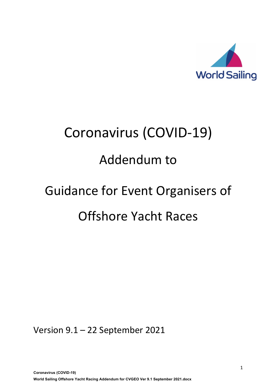

# Coronavirus (COVID-19)

# Addendum to

# Guidance for Event Organisers of Offshore Yacht Races

Version 9.1 – 22 September 2021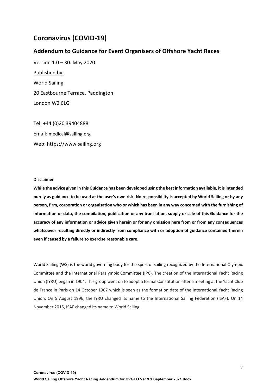#### **Coronavirus (COVID-19)**

#### **Addendum to Guidance for Event Organisers of Offshore Yacht Races**

Version 1.0 – 30. May 2020 Published by: World Sailing 20 Eastbourne Terrace, Paddington London W2 6LG

Tel: +44 (0)20 39404888 Email: medical@sailing.org Web: https://www.sailing.org

#### **Disclaimer**

**While the advice given in this Guidance has been developed using the best information available, it is intended purely as guidance to be used at the user's own risk. No responsibility is accepted by World Sailing or by any person, firm, corporation or organisation who or which has been in any way concerned with the furnishing of information or data, the compilation, publication or any translation, supply or sale of this Guidance for the accuracy of any information or advice given herein or for any omission here from or from any consequences whatsoever resulting directly or indirectly from compliance with or adoption of guidance contained therein even if caused by a failure to exercise reasonable care.**

World Sailing (WS) is the world governing body for the sport of sailing recognized by the International Olympic Committee and the International Paralympic Committee (IPC). The creation of the International Yacht Racing Union (IYRU) began in 1904, This group went on to adopt a formal Constitution after a meeting at the Yacht Club de France in Paris on 14 October 1907 which is seen as the formation date of the International Yacht Racing Union. On 5 August 1996, the IYRU changed its name to the International Sailing Federation (ISAF). On 14 November 2015, ISAF changed its name to World Sailing.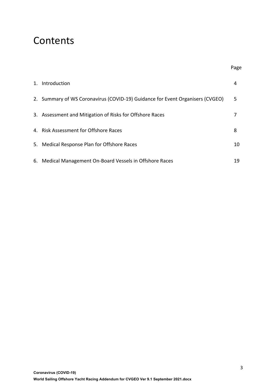### **Contents**

| 1. Introduction                                                               | 4  |
|-------------------------------------------------------------------------------|----|
| 2. Summary of WS Coronavirus (COVID-19) Guidance for Event Organisers (CVGEO) | 5. |
| 3. Assessment and Mitigation of Risks for Offshore Races                      |    |
| 4. Risk Assessment for Offshore Races                                         | 8  |
| 5. Medical Response Plan for Offshore Races                                   | 10 |
| 6. Medical Management On-Board Vessels in Offshore Races                      | 19 |

Page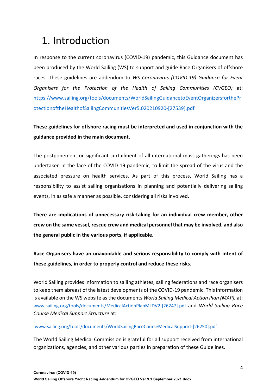### 1. Introduction

In response to the current coronavirus (COVID-19) pandemic, this Guidance document has been produced by the World Sailing (WS) to support and guide Race Organisers of offshore races. These guidelines are addendum to *WS Coronavirus (COVID-19) Guidance for Event Organisers for the Protection of the Health of Sailing Communities (CVGEO)* at: https://www.sailing.org/tools/documents/WorldSailingGuidancetoEventOrganizersforthePr otectionoftheHealthofSailingCommunitiesVer5.020210920-[27539].pdf

#### **These guidelines for offshore racing must be interpreted and used in conjunction with the guidance provided in the main document.**

The postponement or significant curtailment of all international mass gatherings has been undertaken in the face of the COVID-19 pandemic, to limit the spread of the virus and the associated pressure on health services. As part of this process, World Sailing has a responsibility to assist sailing organisations in planning and potentially delivering sailing events, in as safe a manner as possible, considering all risks involved.

**There are implications of unnecessary risk-taking for an individual crew member, other crew on the same vessel, rescue crew and medical personnel that may be involved, and also the general public in the various ports, if applicable.**

**Race Organisers have an unavoidable and serious responsibility to comply with intent of these guidelines, in order to properly control and reduce these risks.**

World Sailing provides information to sailing athletes, sailing federations and race organisers to keep them abreast of the latest developments of the COVID-19 pandemic. This information is available on the WS website as the documents *World Sailing Medical Action Plan (MAP),* at: www.sailing.org/tools/documents/MedicalActionPlanMLDV2-[26247].pdf and *World Sailing Race Course Medical Support Structure* at:

#### www.sailing.org/tools/documents/WorldSailingRaceCourseMedicalSupport-[26250].pdf

The World Sailing Medical Commission is grateful for all support received from international organizations, agencies, and other various parties in preparation of these Guidelines.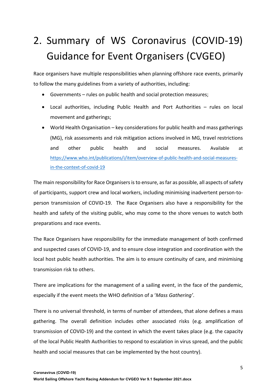# 2. Summary of WS Coronavirus (COVID-19) Guidance for Event Organisers (CVGEO)

Race organisers have multiple responsibilities when planning offshore race events, primarily to follow the many guidelines from a variety of authorities, including:

- Governments rules on public health and social protection measures;
- Local authorities, including Public Health and Port Authorities rules on local movement and gatherings;
- World Health Organisation key considerations for public health and mass gatherings (MG), risk assessments and risk mitigation actions involved in MG, travel restrictions and other public health and social measures. Available at https://www.who.int/publications/i/item/overview-of-public-health-and-social-measuresin-the-context-of-covid-19

The main responsibility for Race Organisers is to ensure, as far as possible, all aspects of safety of participants, support crew and local workers, including minimising inadvertent person-toperson transmission of COVID-19. The Race Organisers also have a responsibility for the health and safety of the visiting public, who may come to the shore venues to watch both preparations and race events.

The Race Organisers have responsibility for the immediate management of both confirmed and suspected cases of COVID-19, and to ensure close integration and coordination with the local host public health authorities. The aim is to ensure continuity of care, and minimising transmission risk to others.

There are implications for the management of a sailing event, in the face of the pandemic, especially if the event meets the WHO definition of a '*Mass Gathering'*.

There is no universal threshold, in terms of number of attendees, that alone defines a mass gathering. The overall definition includes other associated risks (e.g. amplification of transmission of COVID-19) and the context in which the event takes place (e.g. the capacity of the local Public Health Authorities to respond to escalation in virus spread, and the public health and social measures that can be implemented by the host country).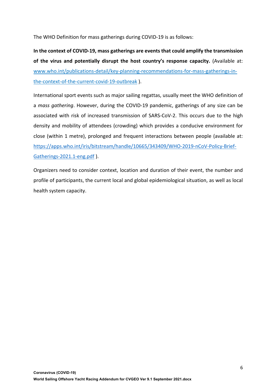The WHO Definition for mass gatherings during COVID-19 is as follows:

**In the context of COVID-19, mass gatherings are events that could amplify the transmission of the virus and potentially disrupt the host country's response capacity.** (Available at: www.who.int/publications-detail/key-planning-recommendations-for-mass-gatherings-inthe-context-of-the-current-covid-19-outbreak ).

International sport events such as major sailing regattas, usually meet the WHO definition of a *mass gathering*. However, during the COVID-19 pandemic, gatherings of any size can be associated with risk of increased transmission of SARS-CoV-2. This occurs due to the high density and mobility of attendees (crowding) which provides a conducive environment for close (within 1 metre), prolonged and frequent interactions between people (available at: https://apps.who.int/iris/bitstream/handle/10665/343409/WHO-2019-nCoV-Policy-Brief-Gatherings-2021.1-eng.pdf ).

Organizers need to consider context, location and duration of their event, the number and profile of participants, the current local and global epidemiological situation, as well as local health system capacity.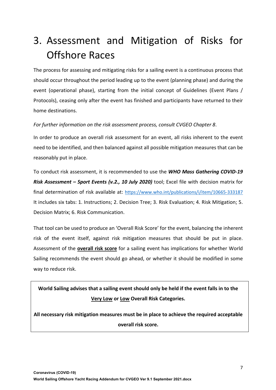## 3. Assessment and Mitigation of Risks for Offshore Races

The process for assessing and mitigating risks for a sailing event is a continuous process that should occur throughout the period leading up to the event (planning phase) and during the event (operational phase), starting from the initial concept of Guidelines (Event Plans / Protocols), ceasing only after the event has finished and participants have returned to their home destinations.

*For further information on the risk assessment process, consult CVGEO Chapter 8*.

In order to produce an overall risk assessment for an event, all risks inherent to the event need to be identified, and then balanced against all possible mitigation measures that can be reasonably put in place.

To conduct risk assessment, it is recommended to use the *WHO Mass Gathering COVID-19 Risk Assessment – Sport Events (v.2., 10 July 2020)* tool; Excel file with decision matrix for final determination of risk available at: https://www.who.int/publications/i/item/10665-333187 It includes six tabs: 1. Instructions; 2. Decision Tree; 3. Risk Evaluation; 4. Risk Mitigation; 5. Decision Matrix; 6. Risk Communication.

That tool can be used to produce an 'Overall Risk Score' for the event, balancing the inherent risk of the event itself, against risk mitigation measures that should be put in place. Assessment of the **overall risk score** for a sailing event has implications for whether World Sailing recommends the event should go ahead, or whether it should be modified in some way to reduce risk.

**World Sailing advises that a sailing event should only be held if the event falls in to the Very Low or Low Overall Risk Categories.**

**All necessary risk mitigation measures must be in place to achieve the required acceptable overall risk score.**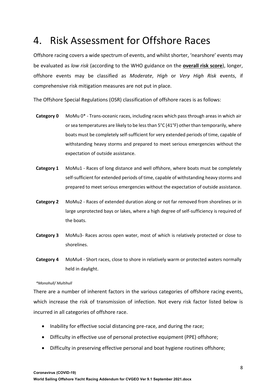### 4. Risk Assessment for Offshore Races

Offshore racing covers a wide spectrum of events, and whilst shorter, 'nearshore' events may be evaluated as *low risk* (according to the WHO guidance on the **overall risk score**), longer, offshore events may be classified as *Moderate*, *High* or *Very High Risk* events, if comprehensive risk mitigation measures are not put in place.

The Offshore Special Regulations (OSR) classification of offshore races is as follows:

- **Category 0** MoMu 0\* Trans-oceanic races, including races which pass through areas in which air or sea temperatures are likely to be less than  $5^{\circ}C(41^{\circ}F)$  other than temporarily, where boats must be completely self-sufficient for very extended periods of time, capable of withstanding heavy storms and prepared to meet serious emergencies without the expectation of outside assistance.
- **Category 1** MoMu1 Races of long distance and well offshore, where boats must be completely self-sufficient for extended periods of time, capable of withstanding heavy storms and prepared to meet serious emergencies without the expectation of outside assistance.
- **Category 2** MoMu2 Races of extended duration along or not far removed from shorelines or in large unprotected bays or lakes, where a high degree of self-sufficiency is required of the boats.
- **Category 3** MoMu3- Races across open water, most of which is relatively protected or close to shorelines.
- **Category 4** MoMu4 Short races, close to shore in relatively warm or protected waters normally held in daylight.

#### *\*Monohull/ Multihull*

There are a number of inherent factors in the various categories of offshore racing events, which increase the risk of transmission of infection. Not every risk factor listed below is incurred in all categories of offshore race.

- Inability for effective social distancing pre-race, and during the race;
- Difficulty in effective use of personal protective equipment (PPE) offshore;
- Difficulty in preserving effective personal and boat hygiene routines offshore;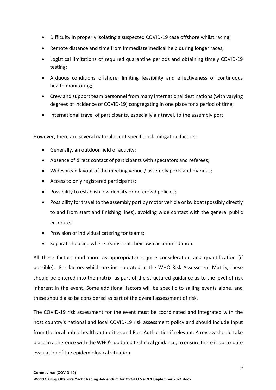- Difficulty in properly isolating a suspected COVID-19 case offshore whilst racing;
- Remote distance and time from immediate medical help during longer races;
- Logistical limitations of required quarantine periods and obtaining timely COVID-19 testing;
- Arduous conditions offshore, limiting feasibility and effectiveness of continuous health monitoring;
- Crew and support team personnel from many international destinations (with varying degrees of incidence of COVID-19) congregating in one place for a period of time;
- International travel of participants, especially air travel, to the assembly port.

However, there are several natural event-specific risk mitigation factors:

- Generally, an outdoor field of activity;
- Absence of direct contact of participants with spectators and referees;
- Widespread layout of the meeting venue / assembly ports and marinas;
- Access to only registered participants;
- Possibility to establish low density or no-crowd policies;
- Possibility for travel to the assembly port by motor vehicle or by boat (possibly directly to and from start and finishing lines), avoiding wide contact with the general public en-route;
- Provision of individual catering for teams;
- Separate housing where teams rent their own accommodation.

All these factors (and more as appropriate) require consideration and quantification (if possible). For factors which are incorporated in the WHO Risk Assessment Matrix, these should be entered into the matrix, as part of the structured guidance as to the level of risk inherent in the event. Some additional factors will be specific to sailing events alone, and these should also be considered as part of the overall assessment of risk.

The COVID-19 risk assessment for the event must be coordinated and integrated with the host country's national and local COVID-19 risk assessment policy and should include input from the local public health authorities and Port Authorities if relevant. A review should take place in adherence with the WHO's updated technical guidance, to ensure there is up-to-date evaluation of the epidemiological situation.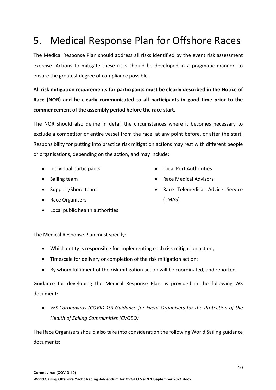### 5. Medical Response Plan for Offshore Races

The Medical Response Plan should address all risks identified by the event risk assessment exercise. Actions to mitigate these risks should be developed in a pragmatic manner, to ensure the greatest degree of compliance possible.

**All risk mitigation requirements for participants must be clearly described in the Notice of Race (NOR) and be clearly communicated to all participants in good time prior to the commencement of the assembly period before the race start.**

The NOR should also define in detail the circumstances where it becomes necessary to exclude a competitor or entire vessel from the race, at any point before, or after the start. Responsibility for putting into practice risk mitigation actions may rest with different people or organisations, depending on the action, and may include:

- Individual participants
- Sailing team
- Support/Shore team
- Race Organisers
- Local public health authorities
- Local Port Authorities
- Race Medical Advisors
- Race Telemedical Advice Service (TMAS)

The Medical Response Plan must specify:

- Which entity is responsible for implementing each risk mitigation action;
- Timescale for delivery or completion of the risk mitigation action;
- By whom fulfilment of the risk mitigation action will be coordinated, and reported.

Guidance for developing the Medical Response Plan, is provided in the following WS document:

• *WS Coronavirus (COVID-19) Guidance for Event Organisers for the Protection of the Health of Sailing Communities (CVGEO)*

The Race Organisers should also take into consideration the following World Sailing guidance documents: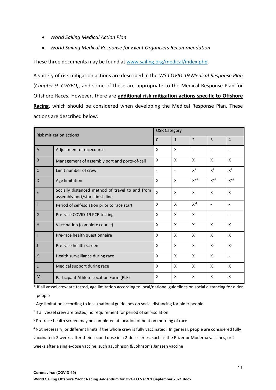- *World Sailing Medical Action Plan*
- *World Sailing Medical Response for Event Organisers Recommendation*

These three documents may be found at www.sailing.org/medical/index.php.

A variety of risk mitigation actions are described in the *WS COVID-19 Medical Response Plan* (*Chapter 9. CVGEO)*, and some of these are appropriate to the Medical Response Plan for Offshore Races. However, there are **additional risk mitigation actions specific to Offshore Racing**, which should be considered when developing the Medical Response Plan. These actions are described below.

|                | Risk mitigation actions                                                            | <b>OSR Category</b> |              |                          |                |                          |
|----------------|------------------------------------------------------------------------------------|---------------------|--------------|--------------------------|----------------|--------------------------|
|                |                                                                                    |                     | $\mathbf{1}$ | $\overline{\phantom{0}}$ | $\overline{3}$ | $\overline{4}$           |
| $\overline{A}$ | Adjustment of racecourse                                                           | X                   | X            | ۰                        |                |                          |
| B              | Management of assembly port and ports-of-call                                      | X                   | X            | $\mathsf{x}$             | X              | X                        |
| $\mathsf{C}$   | Limit number of crew                                                               |                     | ۰            | $X^{\#}$                 | $X^{\#}$       | $X^{\#}$                 |
| D              | Age limitation                                                                     | X                   | X            | $X^{**}$                 | $X^{+#}$       | $X^{+#}$                 |
| E              | Socially distanced method of travel to and from<br>assembly port/start-finish line | X                   | X            | X                        | X              | X                        |
| F              | Period of self-isolation prior to race start                                       | X                   | X            | $X^{x#}$                 |                | $\overline{\phantom{a}}$ |
| G              | Pre-race COVID-19 PCR testing                                                      | X                   | X            | X                        |                | $\overline{\phantom{a}}$ |
| н              | Vaccination (complete course)                                                      | X                   | X            | X                        | X              | X                        |
|                | Pre-race health questionnaire                                                      | X                   | X            | X                        | X              | X                        |
|                | Pre-race health screen                                                             | X                   | X            | X                        | $X^{\circ}$    | $X^{\circ}$              |
| K              | Health surveillance during race                                                    | X                   | X            | $\mathsf{x}$             | X              |                          |
|                | Medical support during race                                                        | X                   | X            | X                        | X              | X                        |
| M              | Participant Athlete Location Form (PLF)                                            | X                   | X            | X                        | X              | X                        |

\* If all vessel crew are tested, age limitation according to local/national guidelines on social distancing for older people

<sup>+</sup> Age limitation according to local/national guidelines on social distancing for older people

x If all vessel crew are tested, no requirement for period of self-isolation

 $0$  Pre-race health screen may be completed at location of boat on morning of race

# Not necessary, or different limits if the whole crew is fully vaccinated. In general, people are considered fully vaccinated: 2 weeks after their second dose in a 2-dose series, such as the Pfizer or Moderna vaccines, or 2 weeks after a single-dose vaccine, such as Johnson & Johnson's Janssen vaccine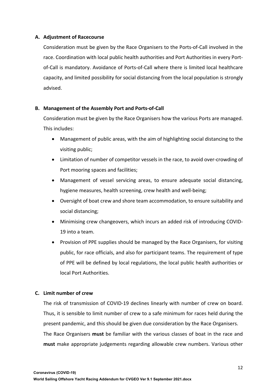#### **A. Adjustment of Racecourse**

Consideration must be given by the Race Organisers to the Ports-of-Call involved in the race. Coordination with local public health authorities and Port Authorities in every Portof-Call is mandatory. Avoidance of Ports-of-Call where there is limited local healthcare capacity, and limited possibility for social distancing from the local population is strongly advised.

#### **B. Management of the Assembly Port and Ports-of-Call**

Consideration must be given by the Race Organisers how the various Ports are managed. This includes:

- Management of public areas, with the aim of highlighting social distancing to the visiting public;
- Limitation of number of competitor vessels in the race, to avoid over-crowding of Port mooring spaces and facilities;
- Management of vessel servicing areas, to ensure adequate social distancing, hygiene measures, health screening, crew health and well-being;
- Oversight of boat crew and shore team accommodation, to ensure suitability and social distancing;
- Minimising crew changeovers, which incurs an added risk of introducing COVID-19 into a team.
- Provision of PPE supplies should be managed by the Race Organisers, for visiting public, for race officials, and also for participant teams. The requirement of type of PPE will be defined by local regulations, the local public health authorities or local Port Authorities.

#### **C. Limit number of crew**

The risk of transmission of COVID-19 declines linearly with number of crew on board. Thus, it is sensible to limit number of crew to a safe minimum for races held during the present pandemic, and this should be given due consideration by the Race Organisers.

The Race Organisers **must** be familiar with the various classes of boat in the race and **must** make appropriate judgements regarding allowable crew numbers. Various other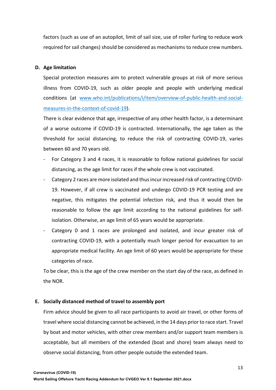factors (such as use of an autopilot, limit of sail size, use of roller furling to reduce work required for sail changes) should be considered as mechanisms to reduce crew numbers.

#### **D. Age limitation**

Special protection measures aim to protect vulnerable groups at risk of more serious illness from COVID-19, such as older people and people with underlying medical conditions (at www.who.int/publications/i/item/overview-of-public-health-and-socialmeasures-in-the-context-of-covid-19).

There is clear evidence that age, irrespective of any other health factor, is a determinant of a worse outcome if COVID-19 is contracted. Internationally, the age taken as the threshold for social distancing, to reduce the risk of contracting COVID-19, varies between 60 and 70 years old.

- For Category 3 and 4 races, it is reasonable to follow national guidelines for social distancing, as the age limit for races if the whole crew is not vaccinated.
- Category 2 races are more isolated and thus incur increased risk of contracting COVID-19. However, if all crew is vaccinated and undergo COVID-19 PCR testing and are negative, this mitigates the potential infection risk, and thus it would then be reasonable to follow the age limit according to the national guidelines for selfisolation. Otherwise, an age limit of 65 years would be appropriate.
- Category 0 and 1 races are prolonged and isolated, and incur greater risk of contracting COVID-19, with a potentially much longer period for evacuation to an appropriate medical facility. An age limit of 60 years would be appropriate for these categories of race.

To be clear, this is the age of the crew member on the start day of the race, as defined in the NOR.

#### **E. Socially distanced method of travel to assembly port**

Firm advice should be given to all race participants to avoid air travel, or other forms of travel where social distancing cannot be achieved, in the 14 days prior to race start. Travel by boat and motor vehicles, with other crew members and/or support team members is acceptable, but all members of the extended (boat and shore) team always need to observe social distancing, from other people outside the extended team.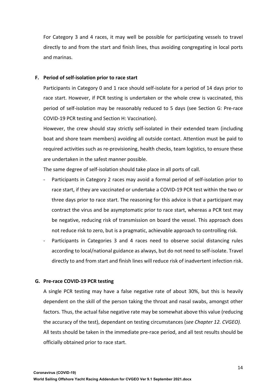For Category 3 and 4 races, it may well be possible for participating vessels to travel directly to and from the start and finish lines, thus avoiding congregating in local ports and marinas.

#### **F. Period of self-isolation prior to race start**

Participants in Category 0 and 1 race should self-isolate for a period of 14 days prior to race start. However, if PCR testing is undertaken or the whole crew is vaccinated, this period of self-isolation may be reasonably reduced to 5 days (see Section G: Pre-race COVID-19 PCR testing and Section H: Vaccination).

However, the crew should stay strictly self-isolated in their extended team (including boat and shore team members) avoiding all outside contact. Attention must be paid to required activities such as re-provisioning, health checks, team logistics, to ensure these are undertaken in the safest manner possible.

The same degree of self-isolation should take place in all ports of call.

- Participants in Category 2 races may avoid a formal period of self-isolation prior to race start, if they are vaccinated or undertake a COVID-19 PCR test within the two or three days prior to race start. The reasoning for this advice is that a participant may contract the virus and be asymptomatic prior to race start, whereas a PCR test may be negative, reducing risk of transmission on board the vessel. This approach does not reduce risk to zero, but is a pragmatic, achievable approach to controlling risk.
- Participants in Categories 3 and 4 races need to observe social distancing rules according to local/national guidance as always, but do not need to self-isolate. Travel directly to and from start and finish lines will reduce risk of inadvertent infection risk.

#### **G. Pre-race COVID-19 PCR testing**

A single PCR testing may have a false negative rate of about 30%, but this is heavily dependent on the skill of the person taking the throat and nasal swabs, amongst other factors. Thus, the actual false negative rate may be somewhat above this value (reducing the accuracy of the test), dependant on testing circumstances (*see Chapter 12. CVGEO).* All tests should be taken in the immediate pre-race period, and all test results should be officially obtained prior to race start.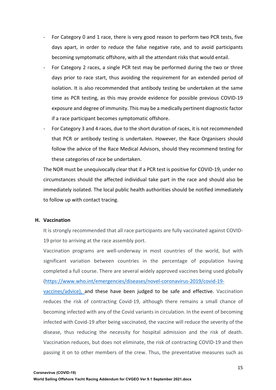- For Category 0 and 1 race, there is very good reason to perform two PCR tests, five days apart, in order to reduce the false negative rate, and to avoid participants becoming symptomatic offshore, with all the attendant risks that would entail.
- For Category 2 races, a single PCR test may be performed during the two or three days prior to race start, thus avoiding the requirement for an extended period of isolation. It is also recommended that antibody testing be undertaken at the same time as PCR testing, as this may provide evidence for possible previous COVID-19 exposure and degree of immunity. This may be a medically pertinent diagnostic factor if a race participant becomes symptomatic offshore.
- For Category 3 and 4 races, due to the short duration of races, it is not recommended that PCR or antibody testing is undertaken. However, the Race Organisers should follow the advice of the Race Medical Advisors, should they recommend testing for these categories of race be undertaken.

The NOR must be unequivocally clear that if a PCR test is positive for COVID-19, under no circumstances should the affected individual take part in the race and should also be immediately isolated. The local public health authorities should be notified immediately to follow up with contact tracing.

#### **H. Vaccination**

It is strongly recommended that all race participants are fully vaccinated against COVID-19 prior to arriving at the race assembly port.

Vaccination programs are well-underway in most countries of the world, but with significant variation between countries in the percentage of population having completed a full course. There are several widely approved vaccines being used globally (https://www.who.int/emergencies/diseases/novel-coronavirus-2019/covid-19-

vaccines/advice), and these have been judged to be safe and effective. Vaccination reduces the risk of contracting Covid-19, although there remains a small chance of becoming infected with any of the Covid variants in circulation. In the event of becoming infected with Covid-19 after being vaccinated, the vaccine will reduce the severity of the disease, thus reducing the necessity for hospital admission and the risk of death. Vaccination reduces, but does not eliminate, the risk of contracting COVID-19 and then passing it on to other members of the crew. Thus, the preventative measures such as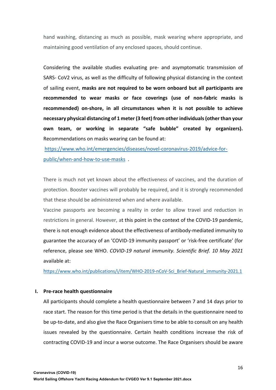hand washing, distancing as much as possible, mask wearing where appropriate, and maintaining good ventilation of any enclosed spaces, should continue.

Considering the available studies evaluating pre- and asymptomatic transmission of SARS- CoV2 virus, as well as the difficulty of following physical distancing in the context of sailing event, **masks are not required to be worn onboard but all participants are recommended to wear masks or face coverings (use of non-fabric masks is recommended) on-shore, in all circumstances when it is not possible to achieve necessary physical distancing of 1 meter (3 feet) from other individuals (other than your own team, or working in separate "safe bubble" created by organizers).** Recommendations on masks wearing can be found at:

https://www.who.int/emergencies/diseases/novel-coronavirus-2019/advice-forpublic/when-and-how-to-use-masks .

There is much not yet known about the effectiveness of vaccines, and the duration of protection. Booster vaccines will probably be required, and it is strongly recommended that these should be administered when and where available.

Vaccine passports are becoming a reality in order to allow travel and reduction in restrictions in general. However, at this point in the context of the COVID-19 pandemic, there is not enough evidence about the effectiveness of antibody-mediated immunity to guarantee the accuracy of an 'COVID-19 immunity passport' or 'risk-free certificate' (for reference, please see WHO. *COVID-19 natural immunity. Scientific Brief. 10 May 2021* available at:

https://www.who.int/publications/i/item/WHO-2019-nCoV-Sci\_Brief-Natural\_immunity-2021.1

#### **I. Pre-race health questionnaire**

All participants should complete a health questionnaire between 7 and 14 days prior to race start. The reason for this time period is that the details in the questionnaire need to be up-to-date, and also give the Race Organisers time to be able to consult on any health issues revealed by the questionnaire. Certain health conditions increase the risk of contracting COVID-19 and incur a worse outcome. The Race Organisers should be aware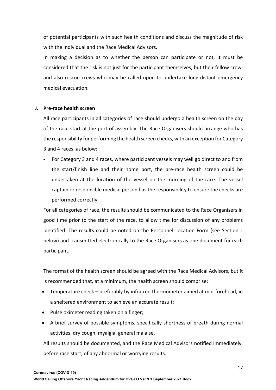of potential participants with such health conditions and discuss the magnitude of risk with the individual and the Race Medical Advisors.

In making a decision as to whether the person can participate or not, it must be considered that the risk is not just for the participant themselves, but their fellow crew, and also rescue crews who may be called upon to undertake long-distant emergency medical evacuation.

#### **J. Pre-race health screen**

All race participants in all categories of race should undergo a health screen on the day of the race start at the port of assembly. The Race Organisers should arrange who has the responsibility for performing the health screen checks, with an exception for Category 3 and 4 races, as below:

For Category 3 and 4 races, where participant vessels may well go direct to and from the start/finish line and their home port, the pre-race health screen could be undertaken at the location of the vessel on the morning of the race. The vessel captain or responsible medical person has the responsibility to ensure the checks are performed correctly.

For all categories of race, the results should be communicated to the Race Organisers in good time prior to the start of the race, to allow time for discussion of any problems identified. The results could be noted on the Personnel Location Form (see Section L below) and transmitted electronically to the Race Organisers as one document for each participant.

The format of the health screen should be agreed with the Race Medical Advisors, but it is recommended that, at a minimum, the health screen should comprise:

- Temperature check preferably by infra-red thermometer aimed at mid-forehead, in a sheltered environment to achieve an accurate result;
- Pulse oximeter reading taken on a finger;
- A brief survey of possible symptoms, specifically shortness of breath during normal activities, dry cough, myalgia, general malaise.

All results should be documented, and the Race Medical Advisors notified immediately, before race start, of any abnormal or worrying results.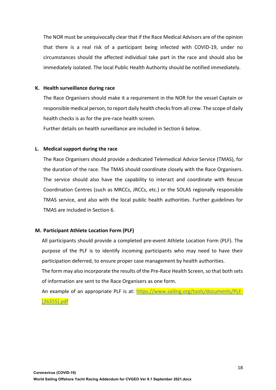The NOR must be unequivocally clear that if the Race Medical Advisors are of the opinion that there is a real risk of a participant being infected with COVID-19, under no circumstances should the affected individual take part in the race and should also be immediately isolated. The local Public Health Authority should be notified immediately.

#### **K. Health surveillance during race**

The Race Organisers should make it a requirement in the NOR for the vessel Captain or responsible medical person, to report daily health checks from all crew. The scope of daily health checks is as for the pre-race health screen.

Further details on health surveillance are included in Section 6 below.

#### **L. Medical support during the race**

The Race Organisers should provide a dedicated Telemedical Advice Service (TMAS), for the duration of the race. The TMAS should coordinate closely with the Race Organisers. The service should also have the capability to interact and coordinate with Rescue Coordination Centres (such as MRCCs, JRCCs, etc.) or the SOLAS regionally responsible TMAS service, and also with the local public health authorities. Further guidelines for TMAS are included in Section 6.

#### **M. Participant Athlete Location Form (PLF)**

All participants should provide a completed pre-event Athlete Location Form (PLF). The purpose of the PLF is to identify incoming participants who may need to have their participation deferred, to ensure proper case management by health authorities.

The form may also incorporate the results of the Pre-Race Health Screen, so that both sets of information are sent to the Race Organisers as one form.

An example of an appropriate PLF is at: https://www.sailing.org/tools/documents/PLF- [26355].pdf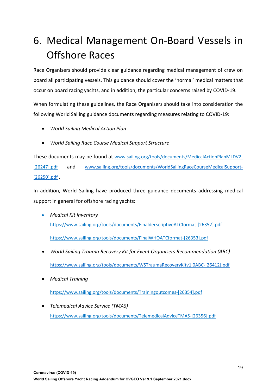## 6. Medical Management On-Board Vessels in Offshore Races

Race Organisers should provide clear guidance regarding medical management of crew on board all participating vessels. This guidance should cover the 'normal' medical matters that occur on board racing yachts, and in addition, the particular concerns raised by COVID-19.

When formulating these guidelines, the Race Organisers should take into consideration the following World Sailing guidance documents regarding measures relating to COVID-19:

- *World Sailing Medical Action Plan*
- *World Sailing Race Course Medical Support Structure*

These documents may be found at www.sailing.org/tools/documents/MedicalActionPlanMLDV2- [26247].pdf and www.sailing.org/tools/documents/WorldSailingRaceCourseMedicalSupport-[26250].pdf .

In addition, World Sailing have produced three guidance documents addressing medical support in general for offshore racing yachts:

- *Medical Kit Inventory* https://www.sailing.org/tools/documents/FinaldecscriptiveATCformat-[26352].pdf https://www.sailing.org/tools/documents/FinalWHOATCformat-[26353].pdf
- *World Sailing Trauma Recovery Kit for Event Organisers Recommendation (ABC)* https://www.sailing.org/tools/documents/WSTraumaRecoveryKitv1.0ABC-[26412].pdf
- *Medical Training*

https://www.sailing.org/tools/documents/Trainingoutcomes-[26354].pdf

• *Telemedical Advice Service (TMAS)* https://www.sailing.org/tools/documents/TelemedicalAdviceTMAS-[26356].pdf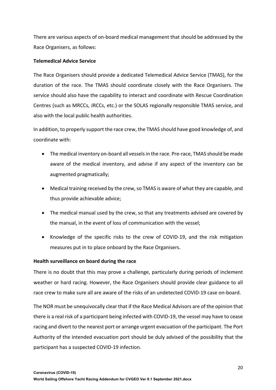There are various aspects of on-board medical management that should be addressed by the Race Organisers, as follows:

#### **Telemedical Advice Service**

The Race Organisers should provide a dedicated Telemedical Advice Service (TMAS), for the duration of the race. The TMAS should coordinate closely with the Race Organisers. The service should also have the capability to interact and coordinate with Rescue Coordination Centres (such as MRCCs, JRCCs, etc.) or the SOLAS regionally responsible TMAS service, and also with the local public health authorities.

In addition, to properly support the race crew, the TMAS should have good knowledge of, and coordinate with:

- The medical inventory on-board all vessels in the race. Pre-race, TMAS should be made aware of the medical inventory, and advise if any aspect of the inventory can be augmented pragmatically;
- Medical training received by the crew, so TMAS is aware of what they are capable, and thus provide achievable advice;
- The medical manual used by the crew, so that any treatments advised are covered by the manual, in the event of loss of communication with the vessel;
- Knowledge of the specific risks to the crew of COVID-19, and the risk mitigation measures put in to place onboard by the Race Organisers.

#### **Health surveillance on board during the race**

There is no doubt that this may prove a challenge, particularly during periods of inclement weather or hard racing. However, the Race Organisers should provide clear guidance to all race crew to make sure all are aware of the risks of an undetected COVID-19 case on-board.

The NOR must be unequivocally clear that if the Race Medical Advisors are of the opinion that there is a real risk of a participant being infected with COVID-19, the vessel may have to cease racing and divert to the nearest port or arrange urgent evacuation of the participant. The Port Authority of the intended evacuation port should be duly advised of the possibility that the participant has a suspected COVID-19 infection.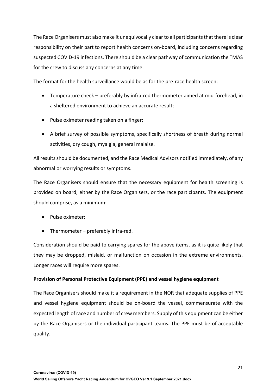The Race Organisers must also make it unequivocally clear to all participants that there is clear responsibility on their part to report health concerns on-board, including concerns regarding suspected COVID-19 infections. There should be a clear pathway of communication the TMAS for the crew to discuss any concerns at any time.

The format for the health surveillance would be as for the pre-race health screen:

- Temperature check preferably by infra-red thermometer aimed at mid-forehead, in a sheltered environment to achieve an accurate result;
- Pulse oximeter reading taken on a finger;
- A brief survey of possible symptoms, specifically shortness of breath during normal activities, dry cough, myalgia, general malaise.

All results should be documented, and the Race Medical Advisors notified immediately, of any abnormal or worrying results or symptoms.

The Race Organisers should ensure that the necessary equipment for health screening is provided on board, either by the Race Organisers, or the race participants. The equipment should comprise, as a minimum:

- Pulse oximeter;
- Thermometer preferably infra-red.

Consideration should be paid to carrying spares for the above items, as it is quite likely that they may be dropped, mislaid, or malfunction on occasion in the extreme environments. Longer races will require more spares.

#### **Provision of Personal Protective Equipment (PPE) and vessel hygiene equipment**

The Race Organisers should make it a requirement in the NOR that adequate supplies of PPE and vessel hygiene equipment should be on-board the vessel, commensurate with the expected length of race and number of crew members. Supply of this equipment can be either by the Race Organisers or the individual participant teams. The PPE must be of acceptable quality.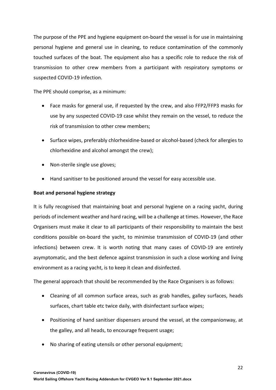The purpose of the PPE and hygiene equipment on-board the vessel is for use in maintaining personal hygiene and general use in cleaning, to reduce contamination of the commonly touched surfaces of the boat. The equipment also has a specific role to reduce the risk of transmission to other crew members from a participant with respiratory symptoms or suspected COVID-19 infection.

The PPE should comprise, as a minimum:

- Face masks for general use, if requested by the crew, and also FFP2/FFP3 masks for use by any suspected COVID-19 case whilst they remain on the vessel, to reduce the risk of transmission to other crew members;
- Surface wipes, preferably chlorhexidine-based or alcohol-based (check for allergies to chlorhexidine and alcohol amongst the crew);
- Non-sterile single use gloves;
- Hand sanitiser to be positioned around the vessel for easy accessible use.

#### **Boat and personal hygiene strategy**

It is fully recognised that maintaining boat and personal hygiene on a racing yacht, during periods of inclement weather and hard racing, will be a challenge at times. However, the Race Organisers must make it clear to all participants of their responsibility to maintain the best conditions possible on-board the yacht, to minimise transmission of COVID-19 (and other infections) between crew. It is worth noting that many cases of COVID-19 are entirely asymptomatic, and the best defence against transmission in such a close working and living environment as a racing yacht, is to keep it clean and disinfected.

The general approach that should be recommended by the Race Organisers is as follows:

- Cleaning of all common surface areas, such as grab handles, galley surfaces, heads surfaces, chart table etc twice daily, with disinfectant surface wipes;
- Positioning of hand sanitiser dispensers around the vessel, at the companionway, at the galley, and all heads, to encourage frequent usage;
- No sharing of eating utensils or other personal equipment;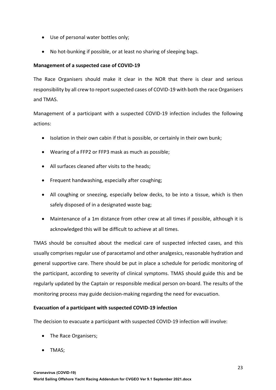- Use of personal water bottles only;
- No hot-bunking if possible, or at least no sharing of sleeping bags.

#### **Management of a suspected case of COVID-19**

The Race Organisers should make it clear in the NOR that there is clear and serious responsibility by all crew to report suspected cases of COVID-19 with both the race Organisers and TMAS.

Management of a participant with a suspected COVID-19 infection includes the following actions:

- Isolation in their own cabin if that is possible, or certainly in their own bunk;
- Wearing of a FFP2 or FFP3 mask as much as possible;
- All surfaces cleaned after visits to the heads;
- Frequent handwashing, especially after coughing;
- All coughing or sneezing, especially below decks, to be into a tissue, which is then safely disposed of in a designated waste bag;
- Maintenance of a 1m distance from other crew at all times if possible, although it is acknowledged this will be difficult to achieve at all times.

TMAS should be consulted about the medical care of suspected infected cases, and this usually comprises regular use of paracetamol and other analgesics, reasonable hydration and general supportive care. There should be put in place a schedule for periodic monitoring of the participant, according to severity of clinical symptoms. TMAS should guide this and be regularly updated by the Captain or responsible medical person on-board. The results of the monitoring process may guide decision-making regarding the need for evacuation.

#### **Evacuation of a participant with suspected COVID-19 infection**

The decision to evacuate a participant with suspected COVID-19 infection will involve:

- The Race Organisers;
- TMAS;